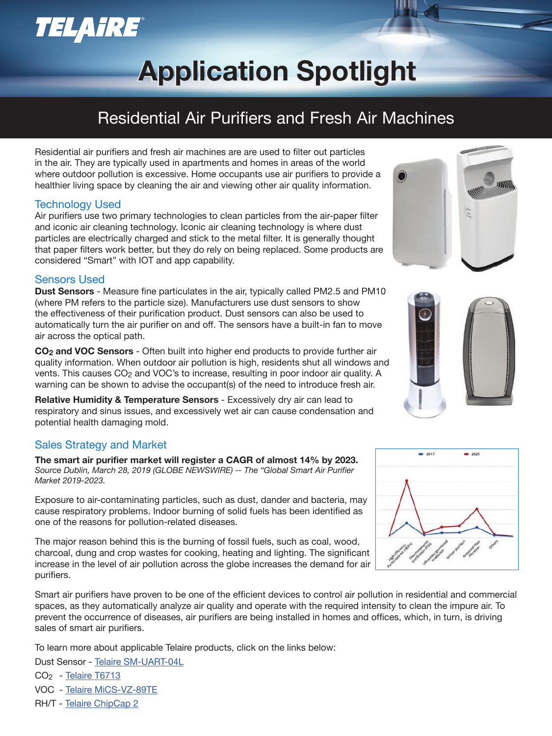## **TELAIRE®**

# **Application Spotlight Application Spotlight**

## Residential Air Purifiers and Fresh Air Machines

Residential air purifiers and fresh air machines are are used to filter out particles in the air. They are typically used in apartments and homes in areas of the world where outdoor pollution is excessive. Home occupants use air purifiers to provide a healthier living space by cleaning the air and viewing other air quality information.

### Technology Used

Air purifiers use two primary technologies to clean particles from the air-paper filter and iconic air cleaning technology. Iconic air cleaning technology is where dust particles are electrically charged and stick to the metal filter. It is generally thought that paper filters work better, but they do rely on being replaced. Some products are considered "Smart" with IOT and app capability.

### Sensors Used

**Dust Sensors** - Measure fine particulates in the air, typically called PM2.5 and PM10 (where PM refers to the particle size). Manufacturers use dust sensors to show the effectiveness of their purification product. Dust sensors can also be used to automatically turn the air purifier on and off. The sensors have a built-in fan to move air across the optical path.

**CO2 and VOC Sensors** - Often built into higher end products to provide further air quality information. When outdoor air pollution is high, residents shut all windows and vents. This causes CO<sub>2</sub> and VOC's to increase, resulting in poor indoor air quality. A warning can be shown to advise the occupant(s) of the need to introduce fresh air.

**Relative Humidity & Temperature Sensors** - Excessively dry air can lead to respiratory and sinus issues, and excessively wet air can cause condensation and potential health damaging mold.

### Sales Strategy and Market

**The smart air purifier market will register a CAGR of almost 14% by 2023.** *Source Dublin, March 28, 2019 (GLOBE NEWSWIRE) -- The "Global Smart Air Purifier Market 2019-2023.*

Exposure to air-contaminating particles, such as dust, dander and bacteria, may cause respiratory problems. Indoor burning of solid fuels has been identified as one of the reasons for pollution-related diseases.

The major reason behind this is the burning of fossil fuels, such as coal, wood, charcoal, dung and crop wastes for cooking, heating and lighting. The significant increase in the level of air pollution across the globe increases the demand for air purifiers.

Smart air purifiers have proven to be one of the efficient devices to control air pollution in residential and commercial spaces, as they automatically analyze air quality and operate with the required intensity to clean the impure air. To prevent the occurrence of diseases, air purifiers are being installed in homes and offices, which, in turn, is driving sales of smart air purifiers.

To learn more about applicable Telaire products, click on the links below:

Dust Sensor - Telaire SM-UART-04L

- CO2 Telaire T6713
- VOC Telaire MiCS-VZ-89TE
- RH/T Telaire ChipCap 2





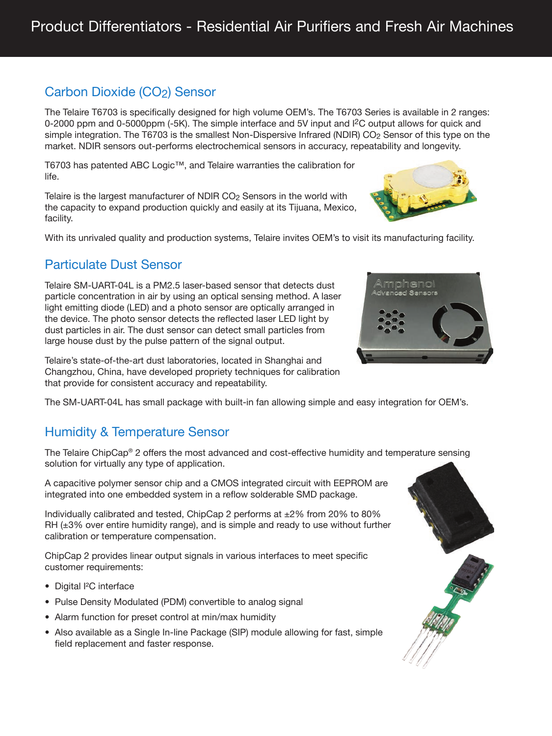## Carbon Dioxide (CO<sub>2</sub>) Sensor

The Telaire T6703 is specifically designed for high volume OEM's. The T6703 Series is available in 2 ranges: 0-2000 ppm and 0-5000ppm (-5K). The simple interface and 5V input and I<sup>2</sup>C output allows for quick and simple integration. The T6703 is the smallest Non-Dispersive Infrared (NDIR) CO<sub>2</sub> Sensor of this type on the market. NDIR sensors out-performs electrochemical sensors in accuracy, repeatability and longevity.

T6703 has patented ABC Logic™, and Telaire warranties the calibration for life.

Telaire is the largest manufacturer of NDIR CO2 Sensors in the world with the capacity to expand production quickly and easily at its Tijuana, Mexico, facility.

With its unrivaled quality and production systems, Telaire invites OEM's to visit its manufacturing facility.

## Particulate Dust Sensor

Telaire SM-UART-04L is a PM2.5 laser-based sensor that detects dust particle concentration in air by using an optical sensing method. A laser light emitting diode (LED) and a photo sensor are optically arranged in the device. The photo sensor detects the reflected laser LED light by dust particles in air. The dust sensor can detect small particles from large house dust by the pulse pattern of the signal output.

Telaire's state-of-the-art dust laboratories, located in Shanghai and Changzhou, China, have developed propriety techniques for calibration that provide for consistent accuracy and repeatability.

The SM-UART-04L has small package with built-in fan allowing simple and easy integration for OEM's.

### Humidity & Temperature Sensor

The Telaire ChipCap® 2 offers the most advanced and cost-effective humidity and temperature sensing solution for virtually any type of application.

A capacitive polymer sensor chip and a CMOS integrated circuit with EEPROM are integrated into one embedded system in a reflow solderable SMD package.

Individually calibrated and tested, ChipCap 2 performs at  $\pm 2\%$  from 20% to 80% RH  $(\pm 3\%$  over entire humidity range), and is simple and ready to use without further calibration or temperature compensation.

ChipCap 2 provides linear output signals in various interfaces to meet specific customer requirements:

- Digital I<sup>2</sup>C interface
- Pulse Density Modulated (PDM) convertible to analog signal
- Alarm function for preset control at min/max humidity
- Also available as a Single In-line Package (SIP) module allowing for fast, simple field replacement and faster response.



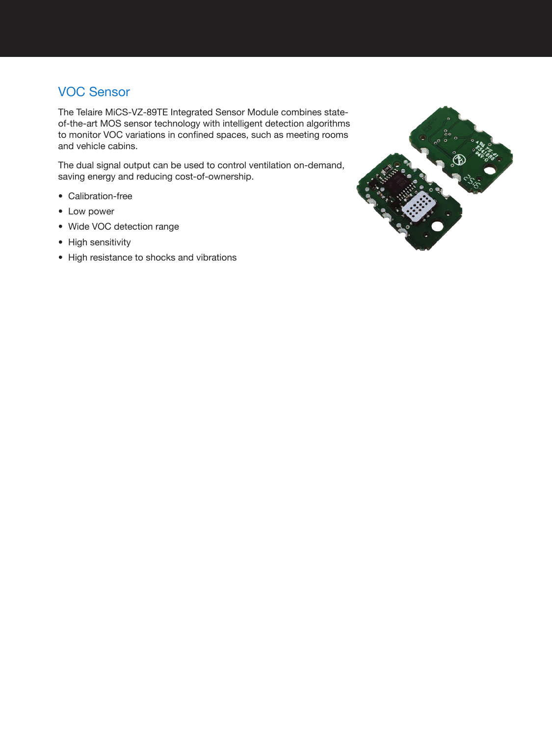## VOC Sensor

The Telaire MiCS-VZ-89TE Integrated Sensor Module combines stateof-the-art MOS sensor technology with intelligent detection algorithms to monitor VOC variations in confined spaces, such as meeting rooms and vehicle cabins.

The dual signal output can be used to control ventilation on-demand, saving energy and reducing cost-of-ownership.

- Calibration-free
- Low power
- Wide VOC detection range
- High sensitivity
- High resistance to shocks and vibrations